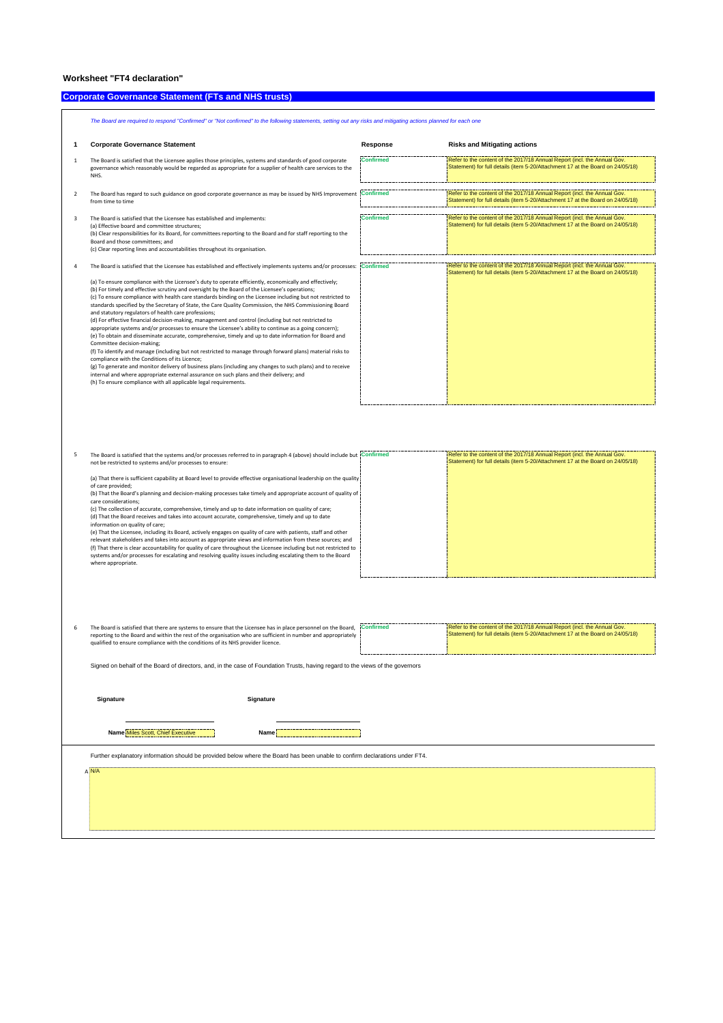## **Worksheet "FT4 declaration"**

## **Corporate Governance Statement (FTs and NHS trusts) Company of the Company of the Company of the Company of the Company of the Company of the Company of the Company of the Company of the Company of the Company of the Co**

|                | The Board are required to respond "Confirmed" or "Not confirmed" to the following statements, setting out any risks and mitigating actions planned for each one                                                                                                                                                                                                                                                                                                                                                                                                                                                                                                                                                                                                                                                                                                                                                                                                                                                                                                                                                                                                                                                                                                                                                                                                                                                                 |                  |                                                                                                                                                            |
|----------------|---------------------------------------------------------------------------------------------------------------------------------------------------------------------------------------------------------------------------------------------------------------------------------------------------------------------------------------------------------------------------------------------------------------------------------------------------------------------------------------------------------------------------------------------------------------------------------------------------------------------------------------------------------------------------------------------------------------------------------------------------------------------------------------------------------------------------------------------------------------------------------------------------------------------------------------------------------------------------------------------------------------------------------------------------------------------------------------------------------------------------------------------------------------------------------------------------------------------------------------------------------------------------------------------------------------------------------------------------------------------------------------------------------------------------------|------------------|------------------------------------------------------------------------------------------------------------------------------------------------------------|
|                | <b>Corporate Governance Statement</b>                                                                                                                                                                                                                                                                                                                                                                                                                                                                                                                                                                                                                                                                                                                                                                                                                                                                                                                                                                                                                                                                                                                                                                                                                                                                                                                                                                                           | Response         | <b>Risks and Mitigating actions</b>                                                                                                                        |
| 1              | The Board is satisfied that the Licensee applies those principles, systems and standards of good corporate<br>governance which reasonably would be regarded as appropriate for a supplier of health care services to the<br>NHS.                                                                                                                                                                                                                                                                                                                                                                                                                                                                                                                                                                                                                                                                                                                                                                                                                                                                                                                                                                                                                                                                                                                                                                                                | <b>Confirmed</b> | Refer to the content of the 2017/18 Annual Report (incl. the Annual Gov.<br>Statement) for full details (item 5-20/Attachment 17 at the Board on 24/05/18) |
| $\overline{2}$ | The Board has regard to such guidance on good corporate governance as may be issued by NHS Improvement Confirmed<br>from time to time                                                                                                                                                                                                                                                                                                                                                                                                                                                                                                                                                                                                                                                                                                                                                                                                                                                                                                                                                                                                                                                                                                                                                                                                                                                                                           |                  | Refer to the content of the 2017/18 Annual Report (incl. the Annual Gov.<br>Statement) for full details (item 5-20/Attachment 17 at the Board on 24/05/18) |
| 3              | The Board is satisfied that the Licensee has established and implements:<br>(a) Effective board and committee structures;<br>(b) Clear responsibilities for its Board, for committees reporting to the Board and for staff reporting to the<br>Board and those committees; and<br>(c) Clear reporting lines and accountabilities throughout its organisation.                                                                                                                                                                                                                                                                                                                                                                                                                                                                                                                                                                                                                                                                                                                                                                                                                                                                                                                                                                                                                                                                   | <b>Confirmed</b> | Refer to the content of the 2017/18 Annual Report (incl. the Annual Gov.<br>Statement) for full details (item 5-20/Attachment 17 at the Board on 24/05/18) |
|                | The Board is satisfied that the Licensee has established and effectively implements systems and/or processes: Confirmed<br>(a) To ensure compliance with the Licensee's duty to operate efficiently, economically and effectively;<br>(b) For timely and effective scrutiny and oversight by the Board of the Licensee's operations;<br>(c) To ensure compliance with health care standards binding on the Licensee including but not restricted to<br>standards specified by the Secretary of State, the Care Quality Commission, the NHS Commissioning Board<br>and statutory regulators of health care professions;<br>(d) For effective financial decision-making, management and control (including but not restricted to<br>appropriate systems and/or processes to ensure the Licensee's ability to continue as a going concern);<br>(e) To obtain and disseminate accurate, comprehensive, timely and up to date information for Board and<br>Committee decision-making;<br>(f) To identify and manage (including but not restricted to manage through forward plans) material risks to<br>compliance with the Conditions of its Licence;<br>(g) To generate and monitor delivery of business plans (including any changes to such plans) and to receive<br>internal and where appropriate external assurance on such plans and their delivery; and<br>(h) To ensure compliance with all applicable legal requirements. |                  | Refer to the content of the 2017/18 Annual Report (incl. the Annual Gov.<br>Statement) for full details (item 5-20/Attachment 17 at the Board on 24/05/18) |

| The Board is satisfied that the systems and/or processes referred to in paragraph 4 (above) should include but Confirmed | Refer to the content of the 2017/18 Annual Report (incl. the Annual Gov.       |
|--------------------------------------------------------------------------------------------------------------------------|--------------------------------------------------------------------------------|
| not be restricted to systems and/or processes to ensure:                                                                 | Statement) for full details (item 5-20/Attachment 17 at the Board on 24/05/18) |
|                                                                                                                          |                                                                                |
| (a) That there is sufficient capability at Board level to provide effective organisational leadership on the quality.    |                                                                                |
| of care provided:                                                                                                        |                                                                                |
| (b) That the Board's planning and decision-making processes take timely and appropriate account of quality of            |                                                                                |
| care considerations:                                                                                                     |                                                                                |
| (c) The collection of accurate, comprehensive, timely and up to date information on quality of care;                     |                                                                                |
| (d) That the Board receives and takes into account accurate, comprehensive, timely and up to date                        |                                                                                |
| information on quality of care;                                                                                          |                                                                                |
| (e) That the Licensee, including its Board, actively engages on quality of care with patients, staff and other           |                                                                                |
| relevant stakeholders and takes into account as appropriate views and information from these sources; and                |                                                                                |
| (f) That there is clear accountability for quality of care throughout the Licensee including but not restricted to       |                                                                                |
| systems and/or processes for escalating and resolving quality issues including escalating them to the Board              |                                                                                |
| where appropriate.                                                                                                       |                                                                                |
|                                                                                                                          |                                                                                |
|                                                                                                                          |                                                                                |

| The Board is satisfied that there are systems to ensure that the Licensee has in place personnel on the Board.<br>reporting to the Board and within the rest of the organisation who are sufficient in number and appropriately | <b>Confirmed</b> | Refer to the content of the 2017/18 Annual Report (incl. the Annual Gov.<br>Statement) for full details (item 5-20/Attachment 17 at the Board on 24/05/18) |
|---------------------------------------------------------------------------------------------------------------------------------------------------------------------------------------------------------------------------------|------------------|------------------------------------------------------------------------------------------------------------------------------------------------------------|
| qualified to ensure compliance with the conditions of its NHS provider licence.                                                                                                                                                 |                  |                                                                                                                                                            |

Signed on behalf of the Board of directors, and, in the case of Foundation Trusts, having regard to the views of the governors

| Signature                         | Signature                                                                                                                   |  |
|-----------------------------------|-----------------------------------------------------------------------------------------------------------------------------|--|
| Name Miles Scott, Chief Executive | <b>Name</b><br>------------------                                                                                           |  |
|                                   | Further explanatory information should be provided below where the Board has been unable to confirm declarations under FT4. |  |
| <b>AN/A</b>                       |                                                                                                                             |  |
|                                   |                                                                                                                             |  |
|                                   |                                                                                                                             |  |